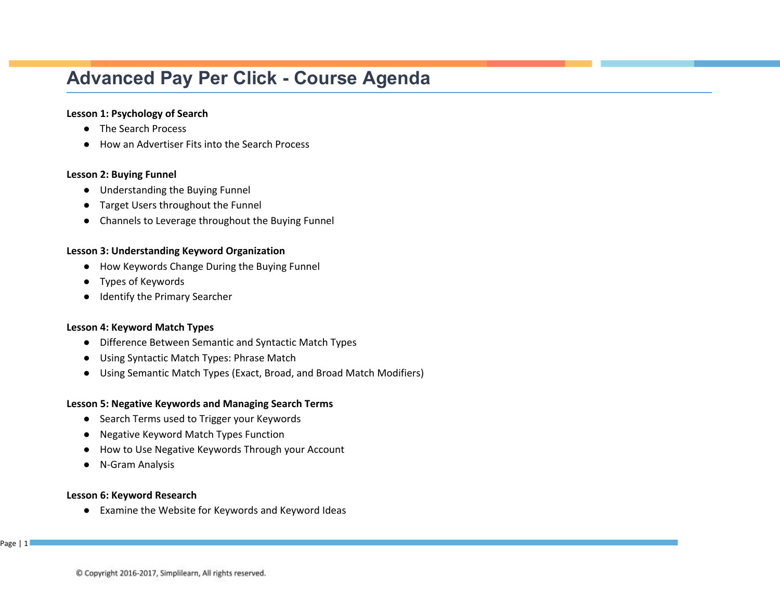# **Advanced Pay Per Click - Course Agenda**

## **Lesson 1: Psychology of Search**

- The Search Process
- How an Advertiser Fits into the Search Process

#### **Lesson 2: Buying Funnel**

- Understanding the Buying Funnel
- Target Users throughout the Funnel
- Channels to Leverage throughout the Buying Funnel

## **Lesson 3: Understanding Keyword Organization**

- How Keywords Change During the Buying Funnel
- Types of Keywords
- Identify the Primary Searcher

#### **Lesson 4: Keyword Match Types**

- Difference Between Semantic and Syntactic Match Types
- Using Syntactic Match Types: Phrase Match
- Using Semantic Match Types (Exact, Broad, and Broad Match Modifiers)

#### **Lesson 5: Negative Keywords and Managing Search Terms**

- Search Terms used to Trigger your Keywords
- Negative Keyword Match Types Function
- How to Use Negative Keywords Through your Account
- N-Gram Analysis

#### **Lesson 6: Keyword Research**

● Examine the Website for Keywords and Keyword Ideas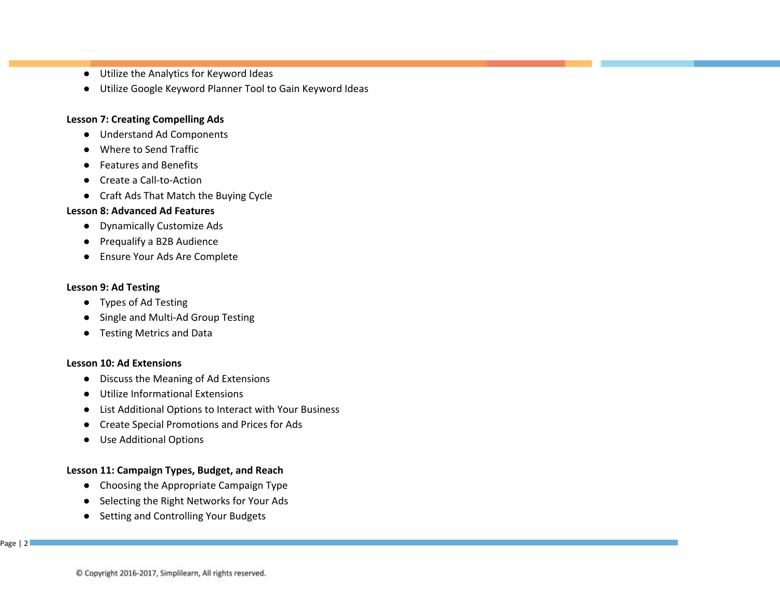- Utilize the Analytics for Keyword Ideas
- Utilize Google Keyword Planner Tool to Gain Keyword Ideas

## **Lesson 7: Creating Compelling Ads**

- Understand Ad Components
- Where to Send Traffic
- Features and Benefits
- Create a Call-to-Action
- Craft Ads That Match the Buying Cycle

## **Lesson 8: Advanced Ad Features**

- Dynamically Customize Ads
- Prequalify a B2B Audience
- Ensure Your Ads Are Complete

## **Lesson 9: Ad Testing**

- Types of Ad Testing
- Single and Multi-Ad Group Testing
- Testing Metrics and Data

#### **Lesson 10: Ad Extensions**

- Discuss the Meaning of Ad Extensions
- Utilize Informational Extensions
- List Additional Options to Interact with Your Business
- Create Special Promotions and Prices for Ads
- Use Additional Options

## **Lesson 11: Campaign Types, Budget, and Reach**

- Choosing the Appropriate Campaign Type
- Selecting the Right Networks for Your Ads
- Setting and Controlling Your Budgets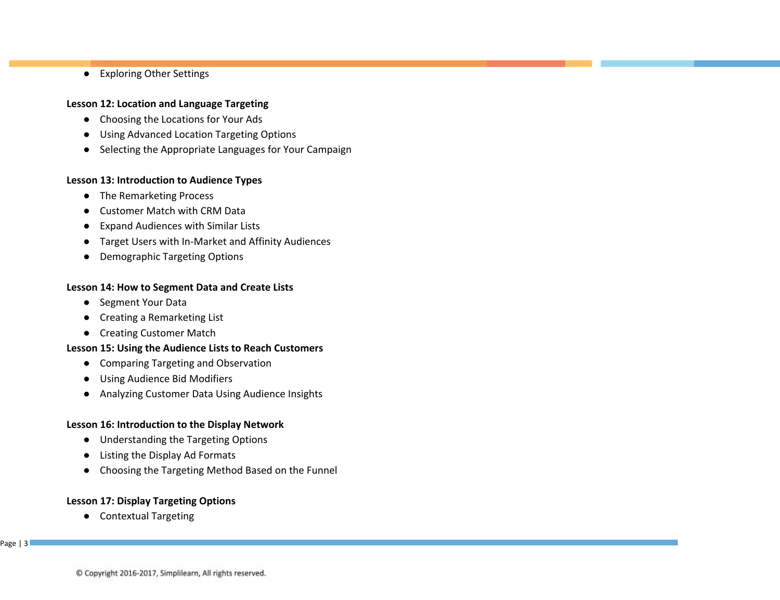● Exploring Other Settings

## **Lesson 12: Location and Language Targeting**

- Choosing the Locations for Your Ads
- Using Advanced Location Targeting Options
- Selecting the Appropriate Languages for Your Campaign

# **Lesson 13: Introduction to Audience Types**

- The Remarketing Process
- Customer Match with CRM Data
- Expand Audiences with Similar Lists
- Target Users with In-Market and Affinity Audiences
- Demographic Targeting Options

## **Lesson 14: How to Segment Data and Create Lists**

- Segment Your Data
- Creating a Remarketing List
- Creating Customer Match

# **Lesson 15: Using the Audience Lists to Reach Customers**

- Comparing Targeting and Observation
- Using Audience Bid Modifiers
- Analyzing Customer Data Using Audience Insights

## **Lesson 16: Introduction to the Display Network**

- Understanding the Targeting Options
- Listing the Display Ad Formats
- Choosing the Targeting Method Based on the Funnel

# **Lesson 17: Display Targeting Options**

● Contextual Targeting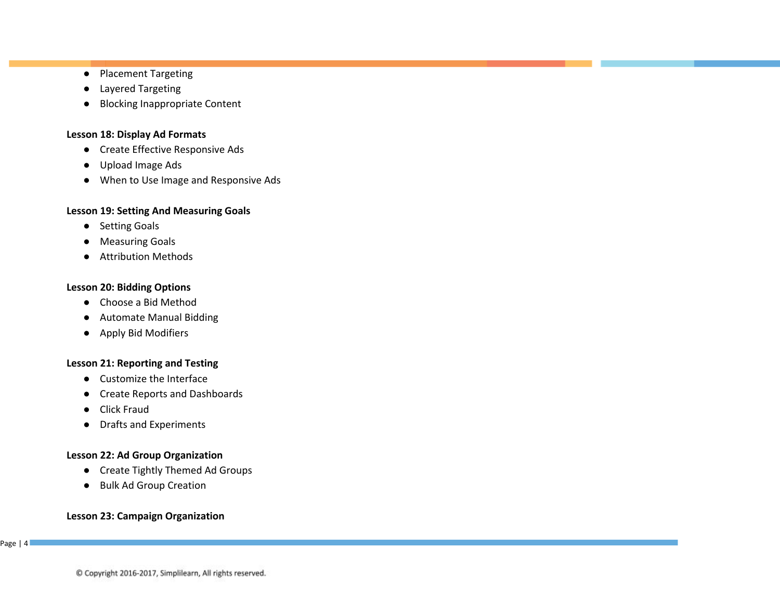- Placement Targeting
- Layered Targeting
- Blocking Inappropriate Content

## **Lesson 18: Display Ad Formats**

- Create Effective Responsive Ads
- Upload Image Ads
- When to Use Image and Responsive Ads

## **Lesson 19: Setting And Measuring Goals**

- Setting Goals
- Measuring Goals
- Attribution Methods

# **Lesson 20: Bidding Options**

- Choose a Bid Method
- Automate Manual Bidding
- Apply Bid Modifiers

# **Lesson 21: Reporting and Testing**

- Customize the Interface
- Create Reports and Dashboards
- Click Fraud
- Drafts and Experiments

# **Lesson 22: Ad Group Organization**

- Create Tightly Themed Ad Groups
- Bulk Ad Group Creation

# **Lesson 23: Campaign Organization**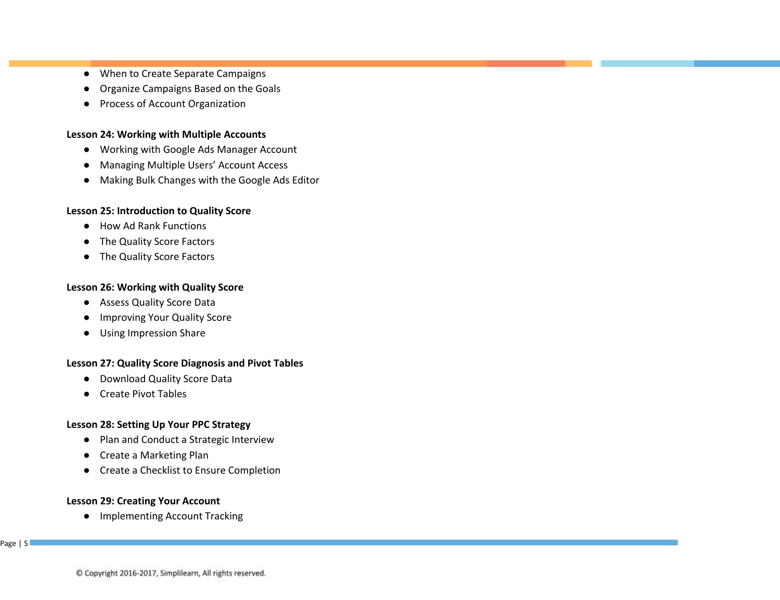- When to Create Separate Campaigns
- Organize Campaigns Based on the Goals
- Process of Account Organization

#### **Lesson 24: Working with Multiple Accounts**

- Working with Google Ads Manager Account
- Managing Multiple Users' Account Access
- Making Bulk Changes with the Google Ads Editor

#### **Lesson 25: Introduction to Quality Score**

- How Ad Rank Functions
- The Quality Score Factors
- The Quality Score Factors

## **Lesson 26: Working with Quality Score**

- Assess Quality Score Data
- Improving Your Quality Score
- Using Impression Share

## **Lesson 27: Quality Score Diagnosis and Pivot Tables**

- Download Quality Score Data
- Create Pivot Tables

## **Lesson 28: Setting Up Your PPC Strategy**

- Plan and Conduct a Strategic Interview
- Create a Marketing Plan
- Create a Checklist to Ensure Completion

## **Lesson 29: Creating Your Account**

● Implementing Account Tracking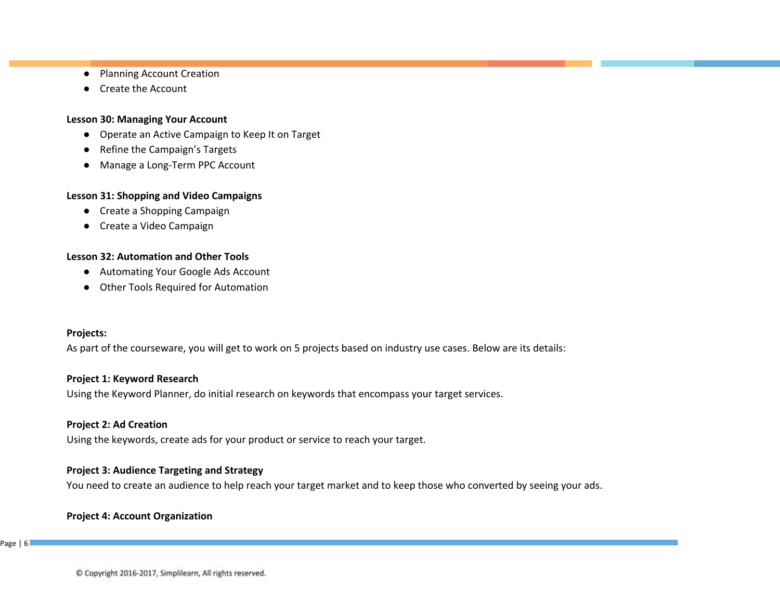- Planning Account Creation
- Create the Account

#### **Lesson 30: Managing Your Account**

- Operate an Active Campaign to Keep It on Target
- Refine the Campaign's Targets
- Manage a Long-Term PPC Account

## **Lesson 31: Shopping and Video Campaigns**

- Create a Shopping Campaign
- Create a Video Campaign

## **Lesson 32: Automation and Other Tools**

- Automating Your Google Ads Account
- Other Tools Required for Automation

#### **Projects:**

As part of the courseware, you will get to work on 5 projects based on industry use cases. Below are its details:

#### **Project 1: Keyword Research**

Using the Keyword Planner, do initial research on keywords that encompass your target services.

## **Project 2: Ad Creation**

Using the keywords, create ads for your product or service to reach your target.

## **Project 3: Audience Targeting and Strategy**

You need to create an audience to help reach your target market and to keep those who converted by seeing your ads.

## **Project 4: Account Organization**